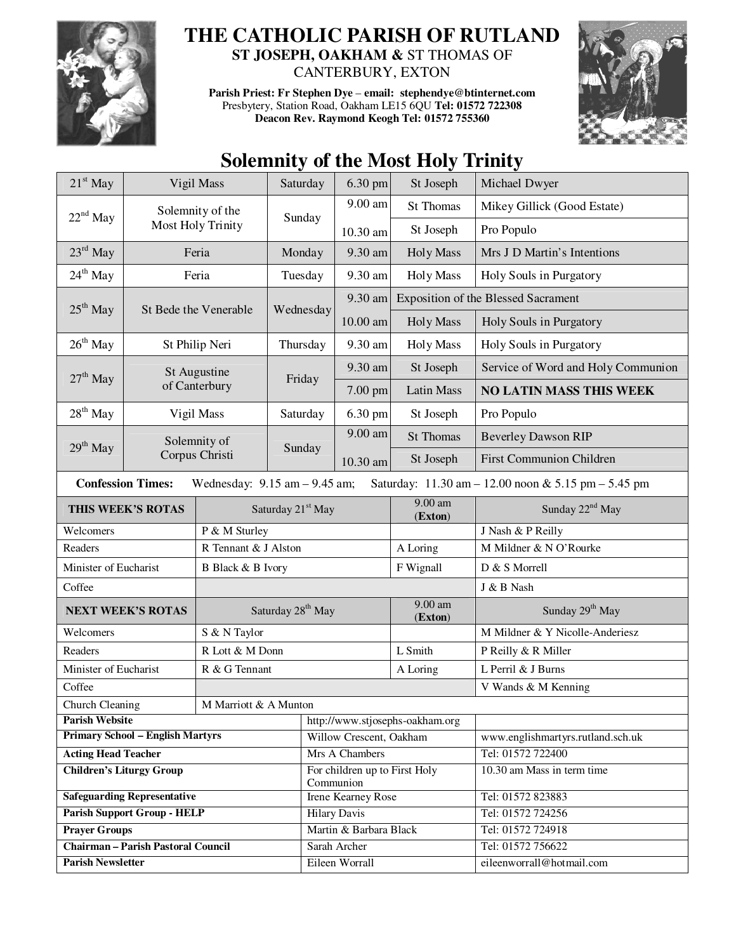

## **THE CATHOLIC PARISH OF RUTLAND**

**ST JOSEPH, OAKHAM &** ST THOMAS OF CANTERBURY, EXTON

**Parish Priest: Fr Stephen Dye** – **email: stephendye@btinternet.com** Presbytery, Station Road, Oakham LE15 6QU **Tel: 01572 722308 Deacon Rev. Raymond Keogh Tel: 01572 755360** 



## **Solemnity of the Most Holy Trinity**

| $21st$ May                                                                                                           | Vigil Mass                    |                               | Saturday                      | 6.30 pm                                    | St Joseph                       | Michael Dwyer                              |
|----------------------------------------------------------------------------------------------------------------------|-------------------------------|-------------------------------|-------------------------------|--------------------------------------------|---------------------------------|--------------------------------------------|
|                                                                                                                      | Solemnity of the              |                               |                               | 9.00 am                                    | <b>St Thomas</b>                | Mikey Gillick (Good Estate)                |
| $22nd$ May                                                                                                           |                               | Most Holy Trinity             | Sunday                        | 10.30 am                                   | St Joseph                       | Pro Populo                                 |
| $23^{\text{rd}}$ May                                                                                                 |                               | Feria                         | Monday                        | 9.30 am                                    | <b>Holy Mass</b>                | Mrs J D Martin's Intentions                |
| $24^{th}$ May                                                                                                        | Feria                         |                               | Tuesday                       | 9.30 am                                    | <b>Holy Mass</b>                | Holy Souls in Purgatory                    |
| $25th$ May<br>St Bede the Venerable                                                                                  |                               |                               | Wednesday                     | 9.30 am                                    |                                 | <b>Exposition of the Blessed Sacrament</b> |
|                                                                                                                      |                               |                               |                               | 10.00 am                                   | <b>Holy Mass</b>                | Holy Souls in Purgatory                    |
| $26th$ May                                                                                                           | St Philip Neri                |                               | Thursday                      | 9.30 am                                    | <b>Holy Mass</b>                | Holy Souls in Purgatory                    |
|                                                                                                                      | St Augustine<br>of Canterbury |                               | Friday                        | 9.30 am                                    | St Joseph                       | Service of Word and Holy Communion         |
| $27th$ May                                                                                                           |                               |                               |                               | 7.00 pm                                    | <b>Latin Mass</b>               | <b>NO LATIN MASS THIS WEEK</b>             |
| $28th$ May                                                                                                           | Vigil Mass                    |                               | Saturday                      | 6.30 pm                                    | St Joseph                       | Pro Populo                                 |
| $29th$ May                                                                                                           |                               | Solemnity of                  |                               | 9.00 am                                    | <b>St Thomas</b>                | <b>Beverley Dawson RIP</b>                 |
|                                                                                                                      | Corpus Christi                |                               | Sunday                        | 10.30 am                                   | St Joseph                       | <b>First Communion Children</b>            |
| <b>Confession Times:</b><br>Saturday: 11.30 am - 12.00 noon & 5.15 pm - 5.45 pm<br>Wednesday: $9.15$ am $- 9.45$ am; |                               |                               |                               |                                            |                                 |                                            |
|                                                                                                                      | THIS WEEK'S ROTAS             |                               | Saturday 21 <sup>st</sup> May |                                            | 9.00 am<br>(Exton)              | Sunday 22 <sup>nd</sup> May                |
| Welcomers<br>P & M Sturley                                                                                           |                               |                               |                               |                                            |                                 | J Nash & P Reilly                          |
| R Tennant & J Alston<br>Readers                                                                                      |                               |                               |                               |                                            | A Loring                        | M Mildner & N O'Rourke                     |
| Minister of Eucharist<br>B Black & B Ivory                                                                           |                               |                               |                               |                                            | F Wignall                       | D & S Morrell                              |
| Coffee                                                                                                               |                               |                               |                               |                                            |                                 | J & B Nash                                 |
| <b>NEXT WEEK'S ROTAS</b>                                                                                             |                               | Saturday 28 <sup>th</sup> May |                               |                                            | 9.00 am<br>(Exton)              | Sunday 29 <sup>th</sup> May                |
| Welcomers<br>S & N Taylor                                                                                            |                               |                               |                               |                                            |                                 | M Mildner & Y Nicolle-Anderiesz            |
| R Lott & M Donn<br>Readers                                                                                           |                               |                               |                               |                                            | L Smith                         | P Reilly & R Miller                        |
| Minister of Eucharist<br>R & G Tennant                                                                               |                               |                               |                               | A Loring                                   | L Perril & J Burns              |                                            |
| Coffee                                                                                                               |                               |                               |                               |                                            |                                 | V Wands & M Kenning                        |
| Church Cleaning<br>M Marriott & A Munton                                                                             |                               |                               |                               |                                            |                                 |                                            |
| <b>Parish Website</b>                                                                                                |                               |                               |                               |                                            | http://www.stjosephs-oakham.org |                                            |
| <b>Primary School - English Martyrs</b>                                                                              |                               |                               |                               | Willow Crescent, Oakham                    |                                 | www.englishmartyrs.rutland.sch.uk          |
| <b>Acting Head Teacher</b>                                                                                           |                               |                               |                               | Mrs A Chambers                             |                                 | Tel: 01572 722400                          |
| <b>Children's Liturgy Group</b>                                                                                      |                               |                               |                               | For children up to First Holy<br>Communion |                                 | 10.30 am Mass in term time                 |
| <b>Safeguarding Representative</b>                                                                                   |                               |                               |                               | Irene Kearney Rose                         |                                 | Tel: 01572 823883                          |
| <b>Parish Support Group - HELP</b>                                                                                   |                               |                               |                               | <b>Hilary Davis</b>                        |                                 | Tel: 01572 724256                          |
| <b>Prayer Groups</b>                                                                                                 |                               |                               |                               | Martin & Barbara Black                     |                                 | Tel: 01572 724918                          |
| <b>Chairman - Parish Pastoral Council</b>                                                                            |                               |                               |                               | Sarah Archer                               |                                 | Tel: 01572 756622                          |
| <b>Parish Newsletter</b>                                                                                             |                               |                               |                               | Eileen Worrall                             |                                 | eileenworrall@hotmail.com                  |